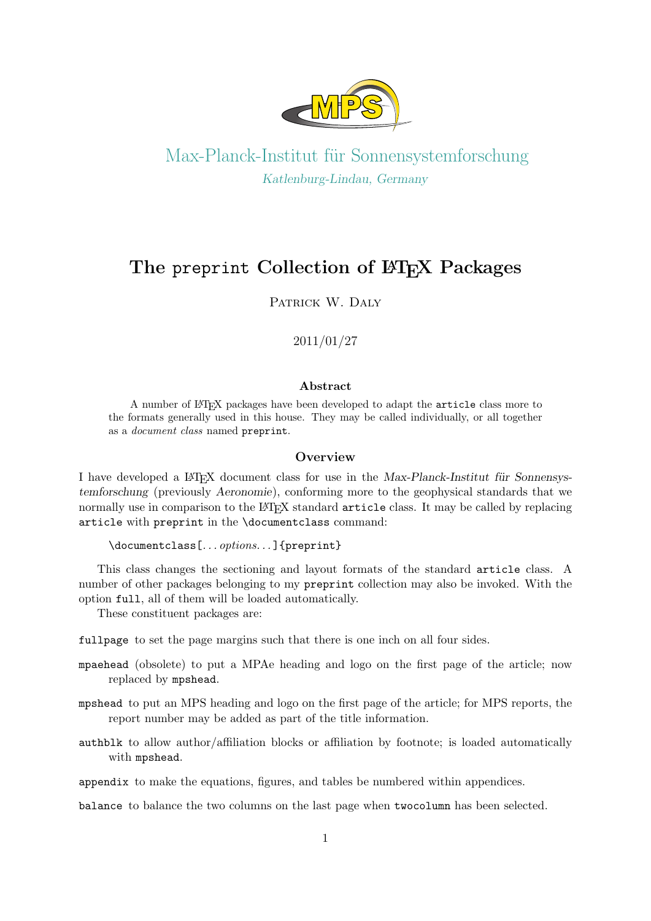

Max-Planck-Institut für Sonnensystemforschung Katlenburg-Lindau, Germany

# The preprint Collection of LAT<sub>EX</sub> Packages

PATRICK W. DALY

# 2011/01/27

# Abstract

A number of LATEX packages have been developed to adapt the article class more to the formats generally used in this house. They may be called individually, or all together as a document class named preprint.

# **Overview**

I have developed a LAT<sub>EX</sub> document class for use in the Max-Planck-Institut für Sonnensystemforschung (previously Aeronomie), conforming more to the geophysical standards that we normally use in comparison to the LATEX standard article class. It may be called by replacing article with preprint in the \documentclass command:

\documentclass[...options...]{preprint}

This class changes the sectioning and layout formats of the standard article class. A number of other packages belonging to my preprint collection may also be invoked. With the option full, all of them will be loaded automatically.

These constituent packages are:

fullpage to set the page margins such that there is one inch on all four sides.

- mpaehead (obsolete) to put a MPAe heading and logo on the first page of the article; now replaced by mpshead.
- mpshead to put an MPS heading and logo on the first page of the article; for MPS reports, the report number may be added as part of the title information.
- authblk to allow author/affiliation blocks or affiliation by footnote; is loaded automatically with mpshead.

appendix to make the equations, figures, and tables be numbered within appendices.

balance to balance the two columns on the last page when twocolumn has been selected.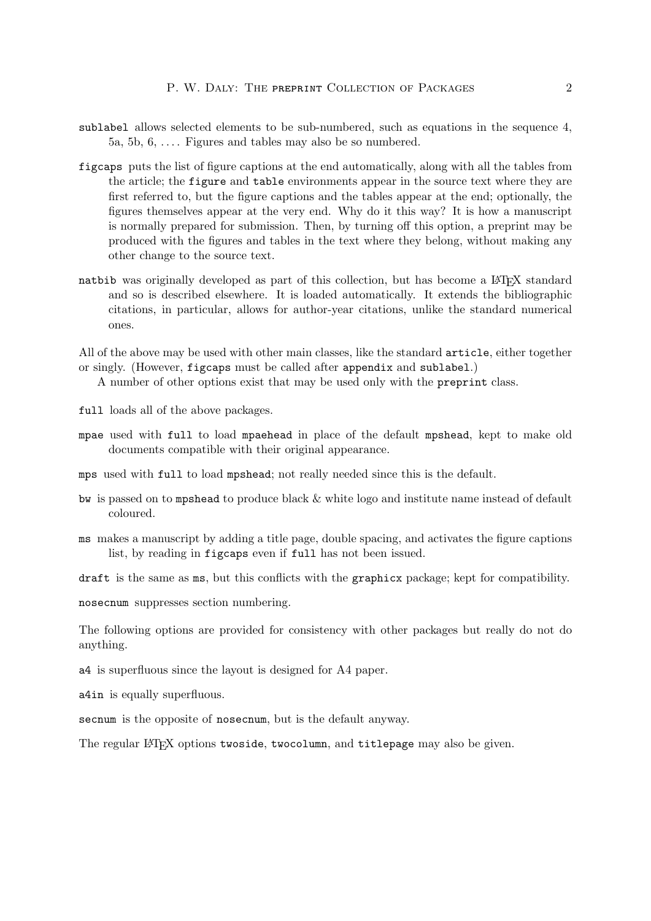- sublabel allows selected elements to be sub-numbered, such as equations in the sequence 4, 5a, 5b, 6, . . . . Figures and tables may also be so numbered.
- figcaps puts the list of figure captions at the end automatically, along with all the tables from the article; the figure and table environments appear in the source text where they are first referred to, but the figure captions and the tables appear at the end; optionally, the figures themselves appear at the very end. Why do it this way? It is how a manuscript is normally prepared for submission. Then, by turning off this option, a preprint may be produced with the figures and tables in the text where they belong, without making any other change to the source text.
- natbib was originally developed as part of this collection, but has become a LATEX standard and so is described elsewhere. It is loaded automatically. It extends the bibliographic citations, in particular, allows for author-year citations, unlike the standard numerical ones.

All of the above may be used with other main classes, like the standard article, either together or singly. (However, figcaps must be called after appendix and sublabel.)

A number of other options exist that may be used only with the preprint class.

- full loads all of the above packages.
- mpae used with full to load mpaehead in place of the default mpshead, kept to make old documents compatible with their original appearance.
- mps used with full to load mpshead; not really needed since this is the default.
- bw is passed on to mpshead to produce black & white logo and institute name instead of default coloured.
- ms makes a manuscript by adding a title page, double spacing, and activates the figure captions list, by reading in figcaps even if full has not been issued.

draft is the same as ms, but this conflicts with the graphicx package; kept for compatibility.

nosecnum suppresses section numbering.

The following options are provided for consistency with other packages but really do not do anything.

a4 is superfluous since the layout is designed for A4 paper.

a4in is equally superfluous.

secnum is the opposite of nosecnum, but is the default anyway.

The regular LAT<sub>EX</sub> options twoside, two column, and titlepage may also be given.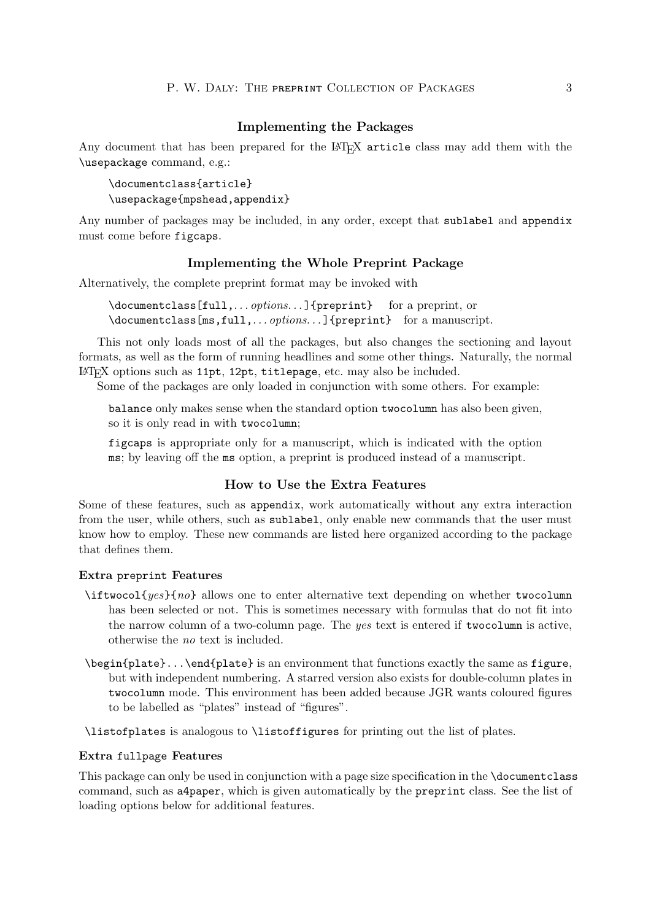# Implementing the Packages

Any document that has been prepared for the LAT<sub>EX</sub> article class may add them with the \usepackage command, e.g.:

\documentclass{article} \usepackage{mpshead,appendix}

Any number of packages may be included, in any order, except that sublabel and appendix must come before figcaps.

#### Implementing the Whole Preprint Package

Alternatively, the complete preprint format may be invoked with

\documentclass[full,...options...]{preprint} for a preprint, or \documentclass[ms,full,...options...]{preprint} for a manuscript.

This not only loads most of all the packages, but also changes the sectioning and layout formats, as well as the form of running headlines and some other things. Naturally, the normal LATEX options such as 11pt, 12pt, titlepage, etc. may also be included.

Some of the packages are only loaded in conjunction with some others. For example:

balance only makes sense when the standard option twocolumn has also been given, so it is only read in with twocolumn;

figcaps is appropriate only for a manuscript, which is indicated with the option ms; by leaving off the ms option, a preprint is produced instead of a manuscript.

# How to Use the Extra Features

Some of these features, such as appendix, work automatically without any extra interaction from the user, while others, such as sublabel, only enable new commands that the user must know how to employ. These new commands are listed here organized according to the package that defines them.

#### Extra preprint Features

- $\text{intword}(yes)$  allows one to enter alternative text depending on whether two column has been selected or not. This is sometimes necessary with formulas that do not fit into the narrow column of a two-column page. The yes text is entered if two column is active, otherwise the no text is included.
- $\begin{center}$  \begin{plate}... \end{plate} is an environment that functions exactly the same as figure, but with independent numbering. A starred version also exists for double-column plates in twocolumn mode. This environment has been added because JGR wants coloured figures to be labelled as "plates" instead of "figures".

\listofplates is analogous to \listoffigures for printing out the list of plates.

#### Extra fullpage Features

This package can only be used in conjunction with a page size specification in the \documentclass command, such as a4paper, which is given automatically by the preprint class. See the list of loading options below for additional features.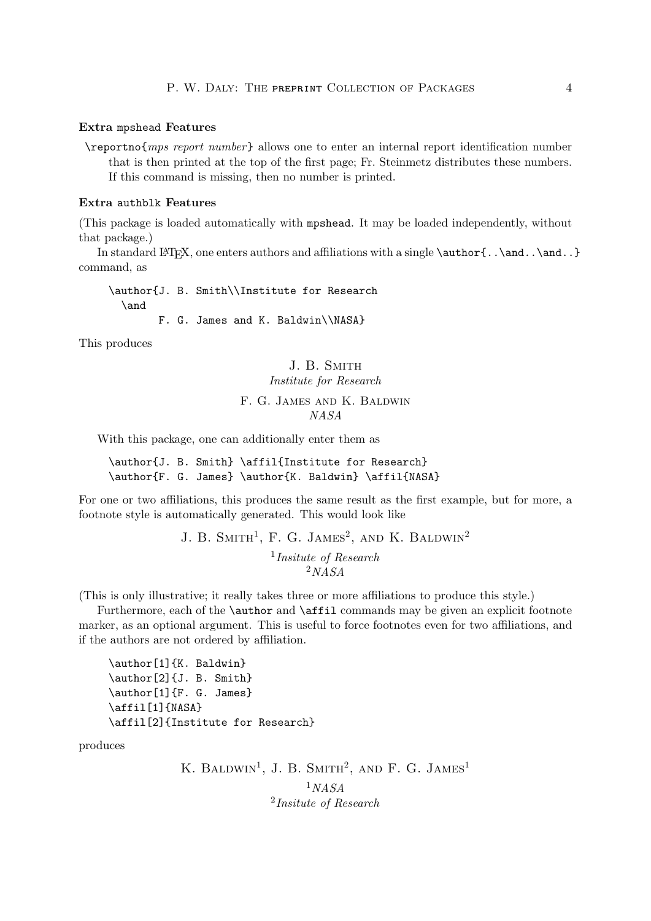#### Extra mpshead Features

\reportno{mps report number} allows one to enter an internal report identification number that is then printed at the top of the first page; Fr. Steinmetz distributes these numbers. If this command is missing, then no number is printed.

#### Extra authblk Features

(This package is loaded automatically with mpshead. It may be loaded independently, without that package.)

In standard LATEX, one enters authors and affiliations with a single  $\author{..\and..}$ command, as

\author{J. B. Smith\\Institute for Research \and F. G. James and K. Baldwin\\NASA}

This produces

# J. B. SMITH Institute for Research F. G. James and K. Baldwin

#### NASA

With this package, one can additionally enter them as

\author{J. B. Smith} \affil{Institute for Research} \author{F. G. James} \author{K. Baldwin} \affil{NASA}

For one or two affiliations, this produces the same result as the first example, but for more, a footnote style is automatically generated. This would look like

> J. B. SMITH<sup>1</sup>, F. G. JAMES<sup>2</sup>, AND K. BALDWIN<sup>2</sup> <sup>1</sup>Insitute of Research  $^{2}NASA$

(This is only illustrative; it really takes three or more affiliations to produce this style.)

Furthermore, each of the **\author** and **\affil** commands may be given an explicit footnote marker, as an optional argument. This is useful to force footnotes even for two affiliations, and if the authors are not ordered by affiliation.

```
\author[1]{K. Baldwin}
\author[2]{J. B. Smith}
\author[1]{F. G. James}
\affil[1]{NASA}
\affil[2]{Institute for Research}
```
produces

K. BALDWIN<sup>1</sup>, J. B. SMITH<sup>2</sup>, AND F. G. JAMES<sup>1</sup>  $1<sub>NASA</sub>$ <sup>2</sup>Insitute of Research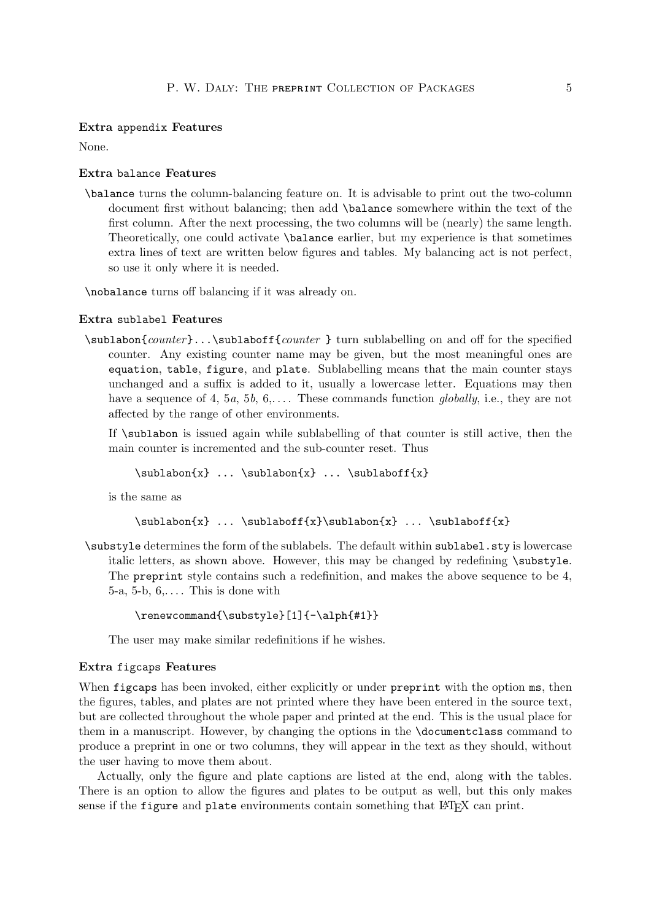#### Extra appendix Features

None.

# Extra balance Features

\balance turns the column-balancing feature on. It is advisable to print out the two-column document first without balancing; then add \balance somewhere within the text of the first column. After the next processing, the two columns will be (nearly) the same length. Theoretically, one could activate \balance earlier, but my experience is that sometimes extra lines of text are written below figures and tables. My balancing act is not perfect, so use it only where it is needed.

\nobalance turns off balancing if it was already on.

#### Extra sublabel Features

\sublabon{counter}...\sublaboff{counter } turn sublabelling on and off for the specified counter. Any existing counter name may be given, but the most meaningful ones are equation, table, figure, and plate. Sublabelling means that the main counter stays unchanged and a suffix is added to it, usually a lowercase letter. Equations may then have a sequence of 4, 5a, 5b,  $6, \ldots$ . These commands function globally, i.e., they are not affected by the range of other environments.

If  $\sum$  is issued again while sublabelling of that counter is still active, then the main counter is incremented and the sub-counter reset. Thus

 $\substack{x\\ ... \sublabel{x}} \ldots$ 

is the same as

 $\substack{x}$ ...  $\substack{x}$ ... \sublaboff{x} \sublabon{x} ... \sublaboff{x}

\substyle determines the form of the sublabels. The default within sublabel.sty is lowercase italic letters, as shown above. However, this may be changed by redefining \substyle. The preprint style contains such a redefinition, and makes the above sequence to be 4, 5-a, 5-b,  $6, \ldots$  This is done with

#### \renewcommand{\substyle}[1]{-\alph{#1}}

The user may make similar redefinitions if he wishes.

#### Extra figcaps Features

When figcaps has been invoked, either explicitly or under preprint with the option ms, then the figures, tables, and plates are not printed where they have been entered in the source text, but are collected throughout the whole paper and printed at the end. This is the usual place for them in a manuscript. However, by changing the options in the \documentclass command to produce a preprint in one or two columns, they will appear in the text as they should, without the user having to move them about.

Actually, only the figure and plate captions are listed at the end, along with the tables. There is an option to allow the figures and plates to be output as well, but this only makes sense if the figure and plate environments contain something that LAT<sub>EX</sub> can print.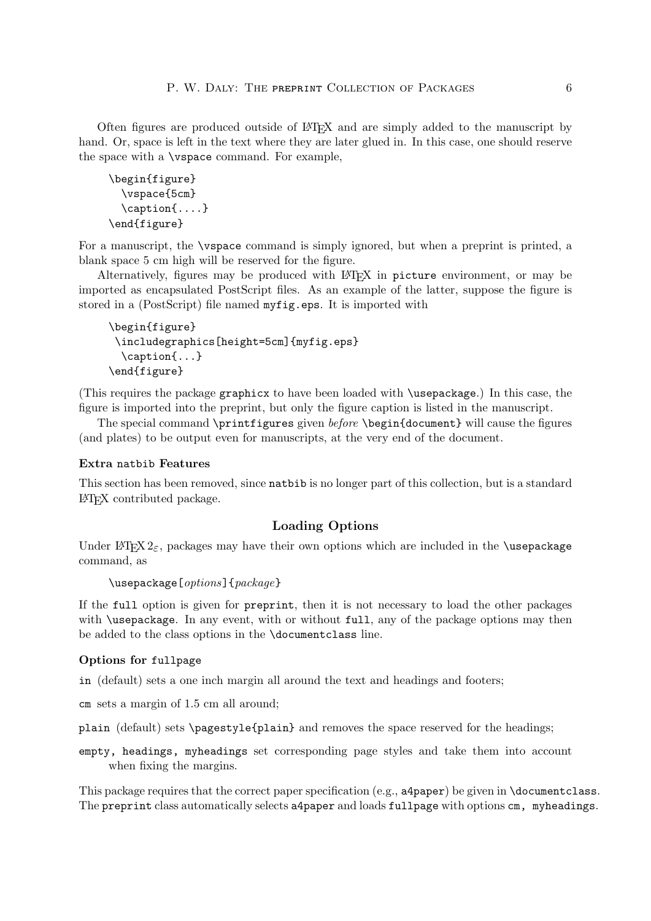Often figures are produced outside of LATEX and are simply added to the manuscript by hand. Or, space is left in the text where they are later glued in. In this case, one should reserve the space with a \vspace command. For example,

```
\begin{figure}
  \vspace{5cm}
  \caption{....}
\end{figure}
```
For a manuscript, the \vspace command is simply ignored, but when a preprint is printed, a blank space 5 cm high will be reserved for the figure.

Alternatively, figures may be produced with LATEX in picture environment, or may be imported as encapsulated PostScript files. As an example of the latter, suppose the figure is stored in a (PostScript) file named myfig.eps. It is imported with

```
\begin{figure}
\includegraphics[height=5cm]{myfig.eps}
  \caption{...}
\end{figure}
```
(This requires the package graphicx to have been loaded with \usepackage.) In this case, the figure is imported into the preprint, but only the figure caption is listed in the manuscript.

The special command \printfigures given before \begin{document} will cause the figures (and plates) to be output even for manuscripts, at the very end of the document.

# Extra natbib Features

This section has been removed, since natbib is no longer part of this collection, but is a standard LATEX contributed package.

# Loading Options

Under LATEX  $2\varepsilon$ , packages may have their own options which are included in the **\usepackage** command, as

#### \usepackage[options]{package}

If the full option is given for preprint, then it is not necessary to load the other packages with **\usepackage.** In any event, with or without full, any of the package options may then be added to the class options in the \documentclass line.

#### Options for fullpage

in (default) sets a one inch margin all around the text and headings and footers;

cm sets a margin of 1.5 cm all around;

plain (default) sets \pagestyle{plain} and removes the space reserved for the headings;

empty, headings, myheadings set corresponding page styles and take them into account when fixing the margins.

This package requires that the correct paper specification (e.g., a4paper) be given in \documentclass. The preprint class automatically selects a4paper and loads fullpage with options cm, myheadings.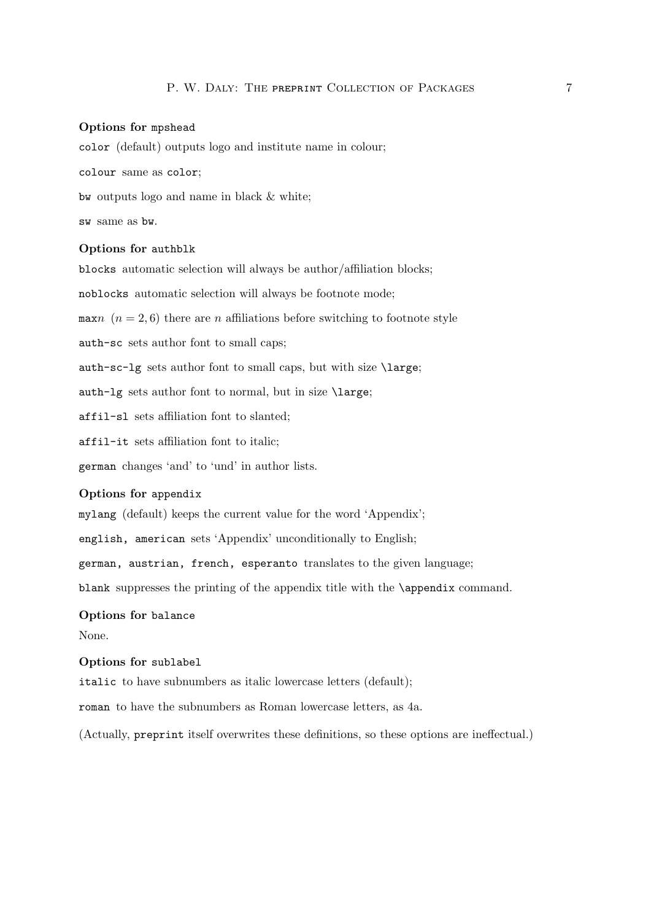#### Options for mpshead

color (default) outputs logo and institute name in colour;

colour same as color;

bw outputs logo and name in black & white;

sw same as bw.

#### Options for authblk

blocks automatic selection will always be author/affiliation blocks; noblocks automatic selection will always be footnote mode; maxn  $(n = 2, 6)$  there are n affiliations before switching to footnote style auth-sc sets author font to small caps; auth-sc-lg sets author font to small caps, but with size \large; auth-lg sets author font to normal, but in size \large; affil-sl sets affiliation font to slanted; affil-it sets affiliation font to italic; german changes 'and' to 'und' in author lists.

#### Options for appendix

mylang (default) keeps the current value for the word 'Appendix';

english, american sets 'Appendix' unconditionally to English;

german, austrian, french, esperanto translates to the given language;

blank suppresses the printing of the appendix title with the \appendix command.

# Options for balance

None.

#### Options for sublabel

italic to have subnumbers as italic lowercase letters (default);

roman to have the subnumbers as Roman lowercase letters, as 4a.

(Actually, preprint itself overwrites these definitions, so these options are ineffectual.)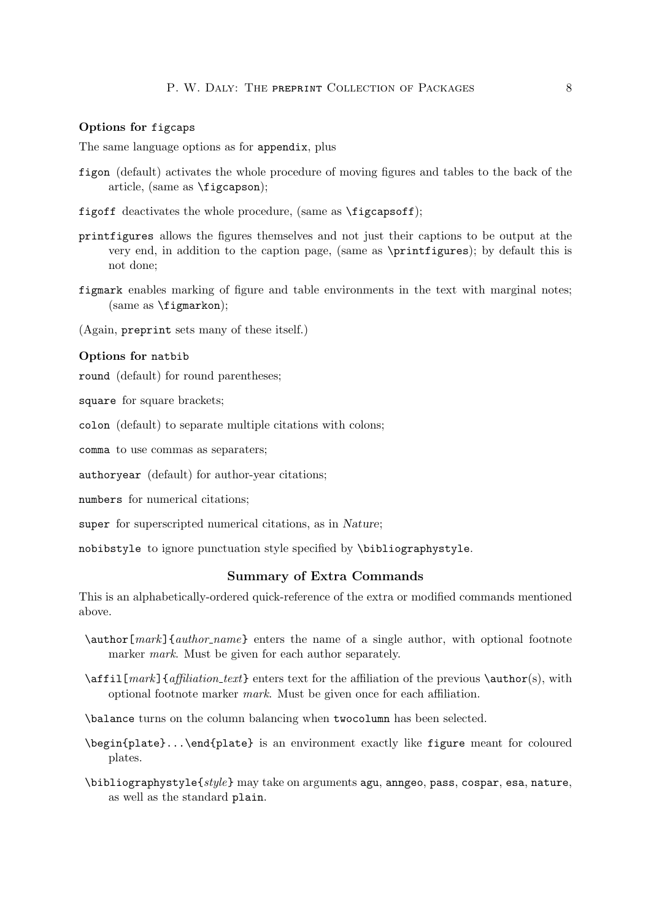# Options for figcaps

The same language options as for appendix, plus

- figon (default) activates the whole procedure of moving figures and tables to the back of the article, (same as \figcapson);
- figoff deactivates the whole procedure, (same as \figcapsoff);
- printfigures allows the figures themselves and not just their captions to be output at the very end, in addition to the caption page, (same as \printfigures); by default this is not done;
- figmark enables marking of figure and table environments in the text with marginal notes; (same as \figmarkon);

(Again, preprint sets many of these itself.)

#### Options for natbib

round (default) for round parentheses;

square for square brackets;

colon (default) to separate multiple citations with colons;

comma to use commas as separaters;

authoryear (default) for author-year citations;

numbers for numerical citations;

super for superscripted numerical citations, as in Nature;

nobibstyle to ignore punctuation style specified by \bibliographystyle.

# Summary of Extra Commands

This is an alphabetically-ordered quick-reference of the extra or modified commands mentioned above.

- \author[mark]{author name} enters the name of a single author, with optional footnote marker *mark*. Must be given for each author separately.
- $\alpha r k$ [*filiation\_text*} enters text for the affiliation of the previous  $\alpha(s)$ , with optional footnote marker mark. Must be given once for each affiliation.

\balance turns on the column balancing when twocolumn has been selected.

- \begin{plate}...\end{plate} is an environment exactly like figure meant for coloured plates.
- $\b{\bibliographystyle{style}$  may take on arguments agu, anngeo, pass, cospar, esa, nature, as well as the standard plain.